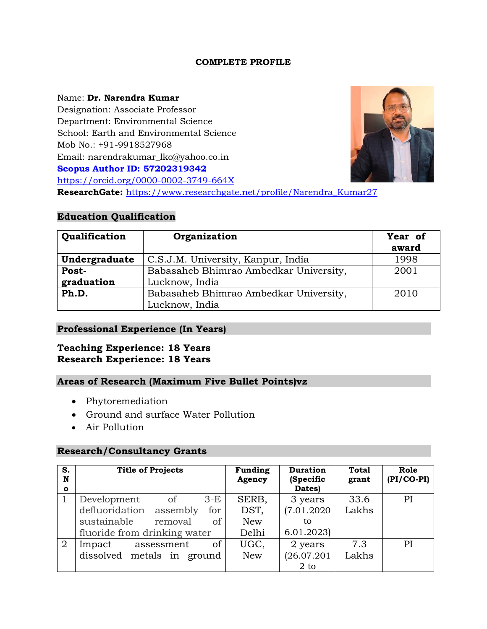# **COMPLETE PROFILE**

#### Name: **Dr. Narendra Kumar**

Designation: Associate Professor Department: Environmental Science School: Earth and Environmental Science Mob No.: +91-9918527968 Email: narendrakumar\_lko@yahoo.co.i[n](http://www.scopus.com/inward/authorDetails.url?authorID=57202319342&partnerID=MN8TOARS) **[Scopus Author ID: 57202319342](http://www.scopus.com/inward/authorDetails.url?authorID=57202319342&partnerID=MN8TOARS)** <https://orcid.org/0000-0002-3749-664X> **ResearchGate:** [https://www.researchgate.net/profile/Narendra\\_Kumar27](https://www.researchgate.net/profile/Narendra_Kumar27)

# **Education Qualification**

| Qualification                                       | Organization                           | Year of<br>award |
|-----------------------------------------------------|----------------------------------------|------------------|
| Undergraduate<br>C.S.J.M. University, Kanpur, India |                                        | 1998             |
| Post-                                               | Babasaheb Bhimrao Ambedkar University, | 2001             |
| graduation<br>Lucknow, India                        |                                        |                  |
| Ph.D.                                               | Babasaheb Bhimrao Ambedkar University, | 2010             |
|                                                     | Lucknow, India                         |                  |

### **Professional Experience (In Years)**

# **Teaching Experience: 18 Years Research Experience: 18 Years**

### **Areas of Research (Maximum Five Bullet Points)vz**

- Phytoremediation
- Ground and surface Water Pollution
- Air Pollution

### **Research/Consultancy Grants**

| S.<br>N<br>$\mathbf{o}$ | <b>Title of Projects</b>       | <b>Funding</b><br>Agency | <b>Duration</b><br>(Specific<br>Dates) | <b>Total</b><br>grant | Role<br>$(PI/CO-PI)$ |
|-------------------------|--------------------------------|--------------------------|----------------------------------------|-----------------------|----------------------|
|                         | Development<br>$3-E$<br>of     | SERB,                    | 3 years                                | 33.6                  | PI                   |
|                         | defluoridation assembly<br>for | DST,                     | (7.01.2020)                            | Lakhs                 |                      |
|                         | sustainable<br>removal<br>of   | <b>New</b>               | tο                                     |                       |                      |
|                         | fluoride from drinking water   | Delhi                    | 6.01.2023                              |                       |                      |
| 2                       | of<br>Impact<br>assessment     | UGC,                     | 2 years                                | 7.3                   | PI                   |
|                         | dissolved metals in ground     | <b>New</b>               | (26.07.201)                            | Lakhs                 |                      |
|                         |                                |                          | $2$ to                                 |                       |                      |

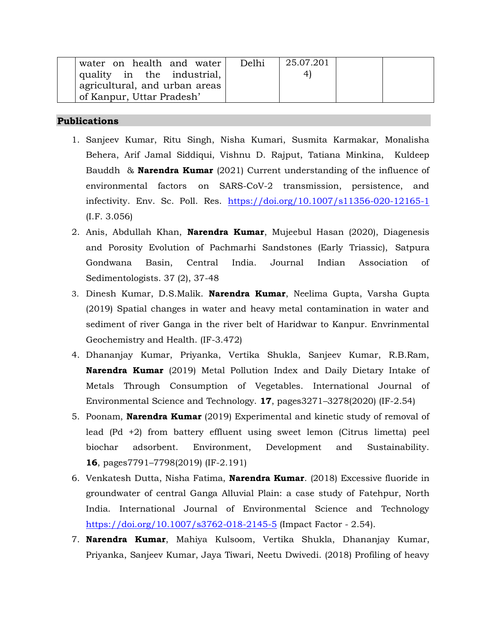| water on health and water                  | Delhi | 25.07.201 |  |
|--------------------------------------------|-------|-----------|--|
| $\vert$ quality in the industrial, $\vert$ |       |           |  |
| agricultural, and urban areas              |       |           |  |
| of Kanpur, Uttar Pradesh'                  |       |           |  |

#### **Publications**

- 1. Sanjeev Kumar, Ritu Singh, Nisha Kumari, Susmita Karmakar, Monalisha Behera, Arif Jamal Siddiqui, Vishnu D. Rajput, Tatiana Minkina, Kuldeep Bauddh & **Narendra Kumar** (2021) Current understanding of the influence of environmental factors on SARS-CoV-2 transmission, persistence, and infectivity. Env. Sc. Poll. Res. <https://doi.org/10.1007/s11356-020-12165-1> (I.F. 3.056)
- 2. Anis, Abdullah Khan, **Narendra Kumar**, Mujeebul Hasan (2020), Diagenesis and Porosity Evolution of Pachmarhi Sandstones (Early Triassic), Satpura Gondwana Basin, Central India. Journal Indian Association of Sedimentologists. 37 (2), 37-48
- 3. Dinesh Kumar, D.S.Malik. **Narendra Kumar**, Neelima Gupta, Varsha Gupta (2019) Spatial changes in water and heavy metal contamination in water and sediment of river Ganga in the river belt of Haridwar to Kanpur. Envrinmental Geochemistry and Health. (IF-3.472)
- 4. Dhananjay Kumar, Priyanka, Vertika Shukla, Sanjeev Kumar, R.B.Ram, **Narendra Kumar** (2019) Metal Pollution Index and Daily Dietary Intake of Metals Through Consumption of Vegetables. International Journal of Environmental Science and Technology. **17**, pages3271–3278(2020) (IF-2.54)
- 5. Poonam, **Narendra Kumar** (2019) Experimental and kinetic study of removal of lead (Pd +2) from battery effluent using sweet lemon (Citrus limetta) peel biochar adsorbent. Environment, Development and Sustainability. **16**, pages7791–7798(2019) (IF-2.191)
- 6. Venkatesh Dutta, Nisha Fatima, **Narendra Kumar**. (2018) Excessive fluoride in groundwater of central Ganga Alluvial Plain: a case study of Fatehpur, North India. International Journal of Environmental Science and Technology <https://doi.org/10.1007/s3762-018-2145-5> (Impact Factor - 2.54).
- 7. **Narendra Kumar**, Mahiya Kulsoom, Vertika Shukla, Dhananjay Kumar, Priyanka, Sanjeev Kumar, Jaya Tiwari, Neetu Dwivedi. (2018) Profiling of heavy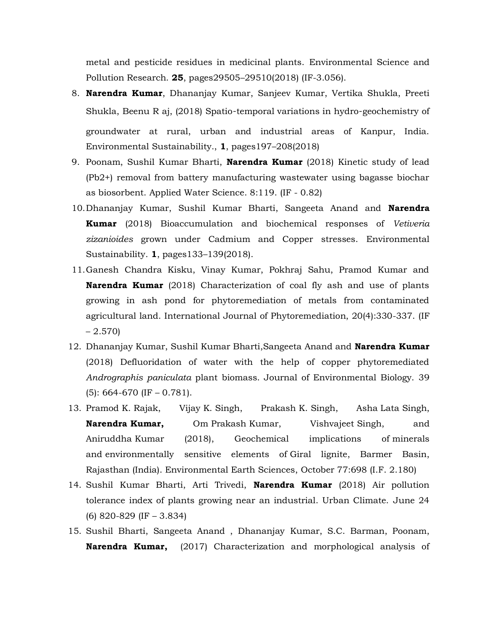metal and pesticide residues in medicinal plants. Environmental Science and Pollution Research. **25**, pages29505–29510(2018) (IF-3.056).

- 8. **Narendra Kumar**, Dhananjay Kumar, Sanjeev Kumar, Vertika Shukla, Preeti Shukla, Beenu R aj, (2018) Spatio‑temporal variations in hydro‑geochemistry of groundwater at rural, urban and industrial areas of Kanpur, India. Environmental Sustainability., **1**, pages197–208(2018)
- 9. Poonam, Sushil Kumar Bharti, **Narendra Kumar** (2018) Kinetic study of lead (Pb2+) removal from battery manufacturing wastewater using bagasse biochar as biosorbent. Applied Water Science. 8:119. (IF - 0.82)
- 10.Dhananjay Kumar, Sushil Kumar Bharti, Sangeeta Anand and **Narendra Kumar** (2018) Bioaccumulation and biochemical responses of *Vetiveria zizanioides* grown under Cadmium and Copper stresses. Environmental Sustainability. **1**, pages133–139(2018).
- 11.Ganesh Chandra Kisku, Vinay Kumar, Pokhraj Sahu, Pramod Kumar and **Narendra Kumar** (2018) Characterization of coal fly ash and use of plants growing in ash pond for phytoremediation of metals from contaminated agricultural land. International Journal of Phytoremediation, 20(4):330-337. (IF  $-2.570$
- 12. Dhananjay Kumar, Sushil Kumar Bharti,Sangeeta Anand and **Narendra Kumar**  (2018) Defluoridation of water with the help of copper phytoremediated *Andrographis paniculata* plant biomass. Journal of Environmental Biology. 39 (5): 664-670 (IF – 0.781).
- 13. Pramod K. Rajak, Vijay K. Singh, Prakash K. Singh, Asha Lata Singh, **Narendra Kumar,** Om Prakash Kumar, Vishvajeet Singh, and Aniruddha Kumar (2018), Geochemical implications of minerals and environmentally sensitive elements of Giral lignite, Barmer Basin, Rajasthan (India). Environmental Earth Sciences, October 77:698 (I.F. 2.180)
- 14. Sushil Kumar Bharti, Arti Trivedi, **Narendra Kumar** (2018) Air pollution tolerance index of plants growing near an industrial. Urban Climate. June 24 (6) 820-829 (IF – 3.834)
- 15. Sushil Bharti, Sangeeta Anand , Dhananjay Kumar, S.C. Barman, Poonam, **Narendra Kumar,** (2017) Characterization and morphological analysis of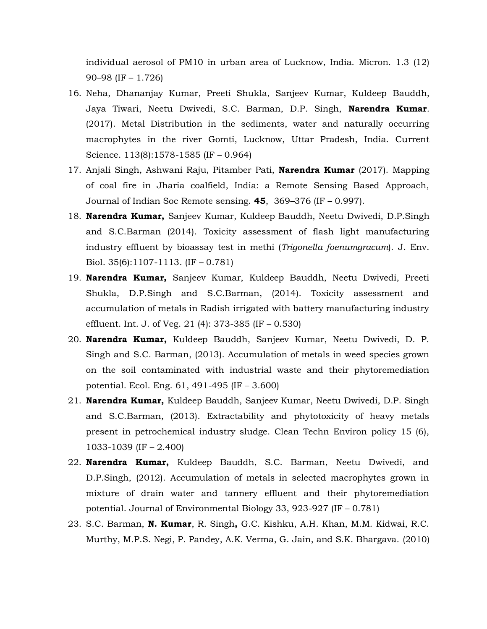individual aerosol of PM10 in urban area of Lucknow, India. Micron. 1.3 (12) 90–98 (IF – 1.726)

- 16. Neha, Dhananjay Kumar, Preeti Shukla, Sanjeev Kumar, Kuldeep Bauddh, Jaya Tiwari, Neetu Dwivedi, S.C. Barman, D.P. Singh, **Narendra Kumar**. (2017). Metal Distribution in the sediments, water and naturally occurring macrophytes in the river Gomti, Lucknow, Uttar Pradesh, India. Current Science. 113(8):1578-1585 (IF – 0.964)
- 17. Anjali Singh, Ashwani Raju, Pitamber Pati, **Narendra Kumar** (2017). Mapping of coal fire in Jharia coalfield, India: a Remote Sensing Based Approach, Journal of Indian Soc Remote sensing. **45**, 369–376 (IF – 0.997).
- 18. **Narendra Kumar,** Sanjeev Kumar, Kuldeep Bauddh, Neetu Dwivedi, D.P.Singh and S.C.Barman (2014). Toxicity assessment of flash light manufacturing industry effluent by bioassay test in methi (*Trigonella foenumgracum*). J. Env. Biol. 35(6):1107-1113. (IF – 0.781)
- 19. **Narendra Kumar,** Sanjeev Kumar, Kuldeep Bauddh, Neetu Dwivedi, Preeti Shukla, D.P.Singh and S.C.Barman, (2014). Toxicity assessment and accumulation of metals in Radish irrigated with battery manufacturing industry effluent. Int. J. of Veg. 21 (4): 373-385 (IF – 0.530)
- 20. **Narendra Kumar,** Kuldeep Bauddh, Sanjeev Kumar, Neetu Dwivedi, D. P. Singh and S.C. Barman, (2013). Accumulation of metals in weed species grown on the soil contaminated with industrial waste and their phytoremediation potential. Ecol. Eng. 61, 491-495 (IF – 3.600)
- 21. **Narendra Kumar,** Kuldeep Bauddh, Sanjeev Kumar, Neetu Dwivedi, D.P. Singh and S.C.Barman, (2013). Extractability and phytotoxicity of heavy metals present in petrochemical industry sludge. Clean Techn Environ policy 15 (6), 1033-1039 (IF – 2.400)
- 22. **Narendra Kumar,** Kuldeep Bauddh, S.C. Barman, Neetu Dwivedi, and D.P.Singh, (2012). Accumulation of metals in selected macrophytes grown in mixture of drain water and tannery effluent and their phytoremediation potential. Journal of Environmental Biology 33, 923-927 (IF – 0.781)
- 23. S.C. Barman, **N. Kumar**, R. Singh**,** G.C. Kishku, A.H. Khan, M.M. Kidwai, R.C. Murthy, M.P.S. Negi, P. Pandey, A.K. Verma, G. Jain, and S.K. Bhargava. (2010)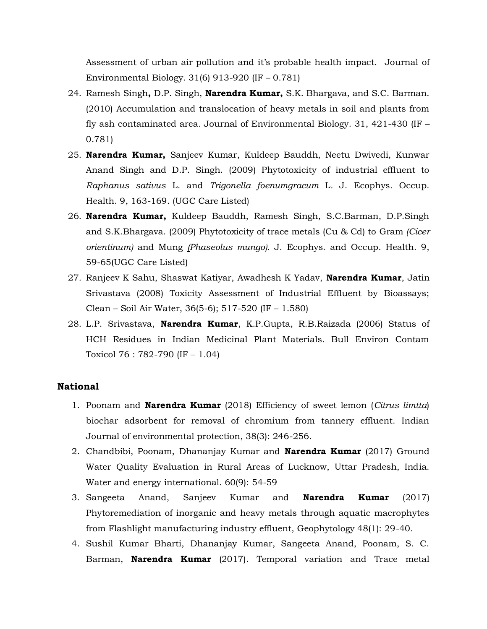Assessment of urban air pollution and it's probable health impact. Journal of Environmental Biology. 31(6) 913-920 (IF – 0.781)

- 24. Ramesh Singh**,** D.P. Singh, **Narendra Kumar,** S.K. Bhargava, and S.C. Barman. (2010) Accumulation and translocation of heavy metals in soil and plants from fly ash contaminated area*.* Journal of Environmental Biology. 31, 421-430 (IF – 0.781)
- 25. **Narendra Kumar,** Sanjeev Kumar, Kuldeep Bauddh, Neetu Dwivedi, Kunwar Anand Singh and D.P. Singh. (2009) Phytotoxicity of industrial effluent to *Raphanus sativus* L. and *Trigonella foenumgracum* L*.* J. Ecophys. Occup. Health. 9, 163-169. (UGC Care Listed)
- 26. **Narendra Kumar,** Kuldeep Bauddh, Ramesh Singh, S.C.Barman, D.P.Singh and S.K.Bhargava. (2009) Phytotoxicity of trace metals (Cu & Cd) to Gram *(Cicer orientinum)* and Mung *(Phaseolus mungo).* J. Ecophys. and Occup. Health. 9, 59-65(UGC Care Listed)
- 27. Ranjeev K Sahu, Shaswat Katiyar, Awadhesh K Yadav, **Narendra Kumar**, Jatin Srivastava (2008) Toxicity Assessment of Industrial Effluent by Bioassays; Clean – Soil Air Water, 36(5-6); 517-520 (IF – 1.580)
- 28. L.P. Srivastava, **Narendra Kumar**, K.P.Gupta, R.B.Raizada (2006) Status of HCH Residues in Indian Medicinal Plant Materials. Bull Environ Contam Toxicol 76 : 782-790 (IF – 1.04)

#### **National**

- 1. Poonam and **Narendra Kumar** (2018) Efficiency of sweet lemon (*Citrus limtta*) biochar adsorbent for removal of chromium from tannery effluent. Indian Journal of environmental protection, 38(3): 246-256.
- 2. Chandbibi, Poonam, Dhananjay Kumar and **Narendra Kumar** (2017) Ground Water Quality Evaluation in Rural Areas of Lucknow, Uttar Pradesh, India. Water and energy international. 60(9): 54-59
- 3. Sangeeta Anand, Sanjeev Kumar and **Narendra Kumar** (2017) Phytoremediation of inorganic and heavy metals through aquatic macrophytes from Flashlight manufacturing industry effluent, Geophytology 48(1): 29-40.
- 4. Sushil Kumar Bharti, Dhananjay Kumar, Sangeeta Anand, Poonam, S. C. Barman, **Narendra Kumar** (2017). Temporal variation and Trace metal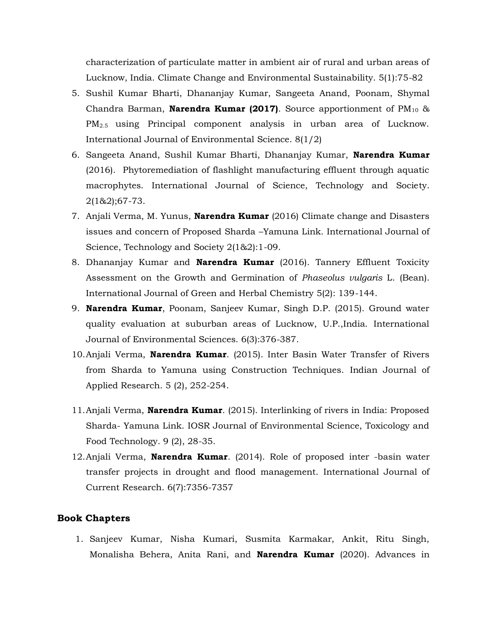characterization of particulate matter in ambient air of rural and urban areas of Lucknow, India. Climate Change and Environmental Sustainability. 5(1):75-82

- 5. Sushil Kumar Bharti, Dhananjay Kumar, Sangeeta Anand, Poonam, Shymal Chandra Barman, **Narendra Kumar (2017)**. Source apportionment of PM<sub>10</sub> & PM2.5 using Principal component analysis in urban area of Lucknow. International Journal of Environmental Science. 8(1/2)
- 6. Sangeeta Anand, Sushil Kumar Bharti, Dhananjay Kumar, **Narendra Kumar**  (2016). Phytoremediation of flashlight manufacturing effluent through aquatic macrophytes. International Journal of Science, Technology and Society. 2(1&2);67-73.
- 7. Anjali Verma, M. Yunus, **Narendra Kumar** (2016) Climate change and Disasters issues and concern of Proposed Sharda –Yamuna Link. International Journal of Science, Technology and Society 2(1&2):1-09.
- 8. Dhananjay Kumar and **Narendra Kumar** (2016). Tannery Effluent Toxicity Assessment on the Growth and Germination of *Phaseolus vulgaris* L. (Bean). International Journal of Green and Herbal Chemistry 5(2): 139-144.
- 9. **Narendra Kumar**, Poonam, Sanjeev Kumar, Singh D.P. (2015). Ground water quality evaluation at suburban areas of Lucknow, U.P.,India. International Journal of Environmental Sciences. 6(3):376-387.
- 10.Anjali Verma, **Narendra Kumar**. (2015). Inter Basin Water Transfer of Rivers from Sharda to Yamuna using Construction Techniques. Indian Journal of Applied Research. 5 (2), 252-254.
- 11.Anjali Verma, **Narendra Kumar**. (2015). Interlinking of rivers in India: Proposed Sharda- Yamuna Link. IOSR Journal of Environmental Science, Toxicology and Food Technology. 9 (2), 28-35.
- 12.Anjali Verma, **Narendra Kumar**. (2014). Role of proposed inter -basin water transfer projects in drought and flood management. International Journal of Current Research. 6(7):7356-7357

#### **Book Chapters**

1. Sanjeev Kumar, Nisha Kumari, Susmita Karmakar, Ankit, Ritu Singh, Monalisha Behera, Anita Rani, and **Narendra Kumar** (2020). Advances in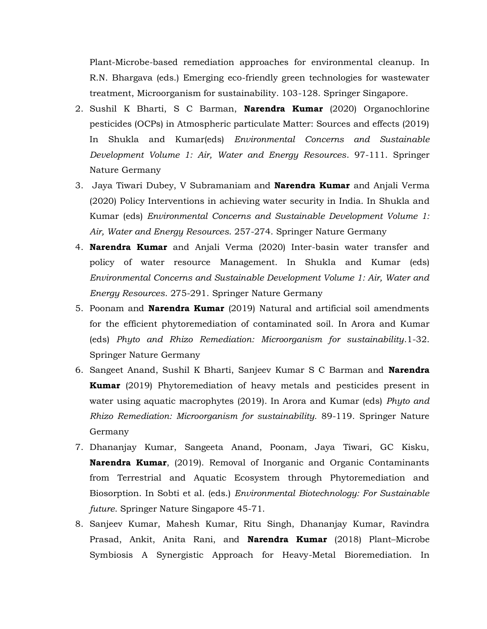Plant-Microbe-based remediation approaches for environmental cleanup. In R.N. Bhargava (eds.) Emerging eco-friendly green technologies for wastewater treatment, Microorganism for sustainability. 103-128. Springer Singapore.

- 2. Sushil K Bharti, S C Barman, **Narendra Kumar** (2020) Organochlorine pesticides (OCPs) in Atmospheric particulate Matter: Sources and effects (2019) In Shukla and Kumar(eds) *Environmental Concerns and Sustainable Development Volume 1: Air, Water and Energy Resources*. 97-111. Springer Nature Germany
- 3. Jaya Tiwari Dubey, V Subramaniam and **Narendra Kumar** and Anjali Verma (2020) Policy Interventions in achieving water security in India. In Shukla and Kumar (eds) *Environmental Concerns and Sustainable Development Volume 1: Air, Water and Energy Resources*. 257-274. Springer Nature Germany
- 4. **Narendra Kumar** and Anjali Verma (2020) Inter-basin water transfer and policy of water resource Management. In Shukla and Kumar (eds) *Environmental Concerns and Sustainable Development Volume 1: Air, Water and Energy Resources*. 275-291. Springer Nature Germany
- 5. Poonam and **Narendra Kumar** (2019) Natural and artificial soil amendments for the efficient phytoremediation of contaminated soil. In Arora and Kumar (eds) *Phyto and Rhizo Remediation: Microorganism for sustainability*.1-32. Springer Nature Germany
- 6. Sangeet Anand, Sushil K Bharti, Sanjeev Kumar S C Barman and **Narendra Kumar** (2019) Phytoremediation of heavy metals and pesticides present in water using aquatic macrophytes (2019). In Arora and Kumar (eds) *Phyto and Rhizo Remediation: Microorganism for sustainability.* 89-119. Springer Nature Germany
- 7. Dhananjay Kumar, Sangeeta Anand, Poonam, Jaya Tiwari, GC Kisku, **Narendra Kumar**, (2019). Removal of Inorganic and Organic Contaminants from Terrestrial and Aquatic Ecosystem through Phytoremediation and Biosorption. In Sobti et al. (eds.) *Environmental Biotechnology: For Sustainable future*. Springer Nature Singapore 45-71.
- 8. Sanjeev Kumar, Mahesh Kumar, Ritu Singh, Dhananjay Kumar, Ravindra Prasad, Ankit, Anita Rani, and **Narendra Kumar** (2018) Plant–Microbe Symbiosis A Synergistic Approach for Heavy-Metal Bioremediation. In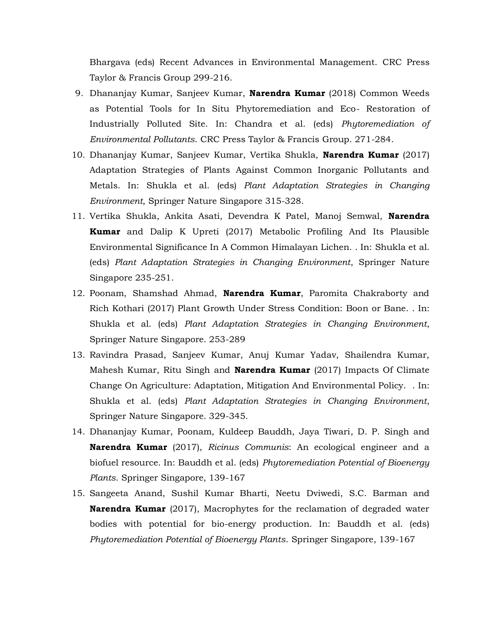Bhargava (eds) Recent Advances in Environmental Management. CRC Press Taylor & Francis Group 299-216.

- 9. Dhananjay Kumar, Sanjeev Kumar, **Narendra Kumar** (2018) Common Weeds as Potential Tools for In Situ Phytoremediation and Eco- Restoration of Industrially Polluted Site. In: Chandra et al. (eds) *Phytoremediation of Environmental Pollutants*. CRC Press Taylor & Francis Group. 271-284.
- 10. Dhananjay Kumar, Sanjeev Kumar, Vertika Shukla, **Narendra Kumar** (2017) Adaptation Strategies of Plants Against Common Inorganic Pollutants and Metals. In: Shukla et al. (eds) *Plant Adaptation Strategies in Changing Environment*, Springer Nature Singapore 315-328.
- 11. Vertika Shukla, Ankita Asati, Devendra K Patel, Manoj Semwal, **Narendra Kumar** and Dalip K Upreti (2017) Metabolic Profiling And Its Plausible Environmental Significance In A Common Himalayan Lichen. . In: Shukla et al. (eds) *Plant Adaptation Strategies in Changing Environment*, Springer Nature Singapore 235-251.
- 12. Poonam, Shamshad Ahmad, **Narendra Kumar**, Paromita Chakraborty and Rich Kothari (2017) Plant Growth Under Stress Condition: Boon or Bane. . In: Shukla et al. (eds) *Plant Adaptation Strategies in Changing Environment*, Springer Nature Singapore. 253-289
- 13. Ravindra Prasad, Sanjeev Kumar, Anuj Kumar Yadav, Shailendra Kumar, Mahesh Kumar, Ritu Singh and **Narendra Kumar** (2017) Impacts Of Climate Change On Agriculture: Adaptation, Mitigation And Environmental Policy. . In: Shukla et al. (eds) *Plant Adaptation Strategies in Changing Environment*, Springer Nature Singapore. 329-345.
- 14. Dhananjay Kumar, Poonam, Kuldeep Bauddh, Jaya Tiwari, D. P. Singh and **Narendra Kumar** (2017), *Ricinus Communis*: An ecological engineer and a biofuel resource. In: Bauddh et al. (eds) *Phytoremediation Potential of Bioenergy Plants*. Springer Singapore, 139-167
- 15. Sangeeta Anand, Sushil Kumar Bharti, Neetu Dviwedi, S.C. Barman and **Narendra Kumar** (2017), Macrophytes for the reclamation of degraded water bodies with potential for bio-energy production. In: Bauddh et al. (eds) *Phytoremediation Potential of Bioenergy Plants*. Springer Singapore, 139-167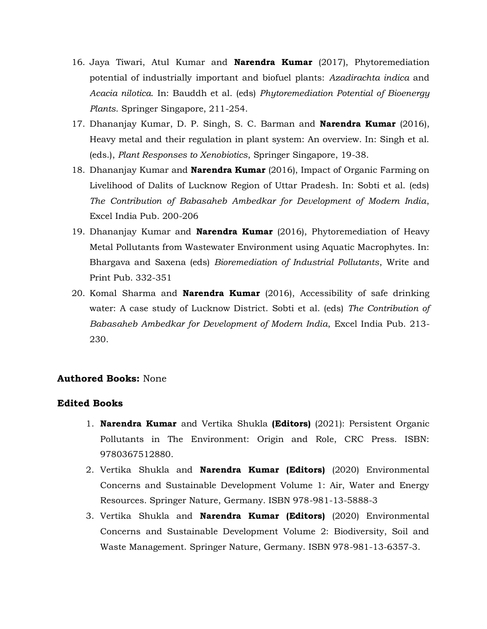- 16. Jaya Tiwari, Atul Kumar and **Narendra Kumar** (2017), Phytoremediation potential of industrially important and biofuel plants: *Azadirachta indica* and *Acacia nilotica*. In: Bauddh et al. (eds) *Phytoremediation Potential of Bioenergy Plants*. Springer Singapore, 211-254.
- 17. Dhananjay Kumar, D. P. Singh, S. C. Barman and **Narendra Kumar** (2016), Heavy metal and their regulation in plant system: An overview. In: Singh et al. (eds.), *Plant Responses to Xenobiotics*, Springer Singapore, 19-38.
- 18. Dhananjay Kumar and **Narendra Kumar** (2016), Impact of Organic Farming on Livelihood of Dalits of Lucknow Region of Uttar Pradesh. In: Sobti et al. (eds) *The Contribution of Babasaheb Ambedkar for Development of Modern India*, Excel India Pub. 200-206
- 19. Dhananjay Kumar and **Narendra Kumar** (2016), Phytoremediation of Heavy Metal Pollutants from Wastewater Environment using Aquatic Macrophytes. In: Bhargava and Saxena (eds) *Bioremediation of Industrial Pollutants*, Write and Print Pub. 332-351
- 20. Komal Sharma and **Narendra Kumar** (2016), Accessibility of safe drinking water: A case study of Lucknow District. Sobti et al. (eds) *The Contribution of Babasaheb Ambedkar for Development of Modern India*, Excel India Pub. 213- 230.

### **Authored Books:** None

### **Edited Books**

- 1. **Narendra Kumar** and Vertika Shukla **(Editors)** (2021): Persistent Organic Pollutants in The Environment: Origin and Role, CRC Press. ISBN: 9780367512880.
- 2. Vertika Shukla and **Narendra Kumar (Editors)** (2020) Environmental Concerns and Sustainable Development Volume 1: Air, Water and Energy Resources. Springer Nature, Germany. ISBN 978-981-13-5888-3
- 3. Vertika Shukla and **Narendra Kumar (Editors)** (2020) Environmental Concerns and Sustainable Development Volume 2: Biodiversity, Soil and Waste Management. Springer Nature, Germany. ISBN 978-981-13-6357-3.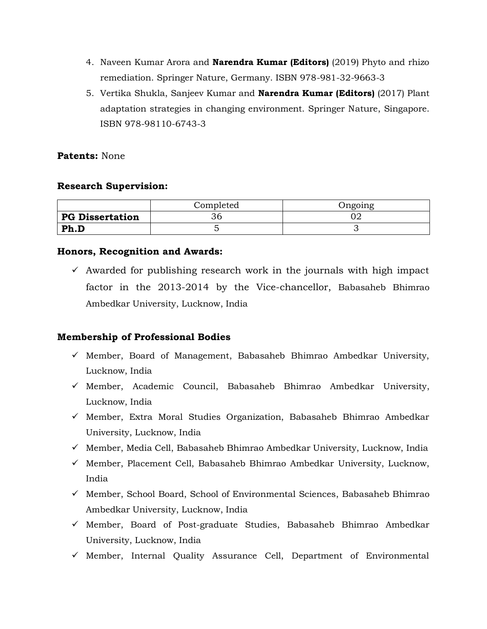- 4. Naveen Kumar Arora and **Narendra Kumar (Editors)** (2019) Phyto and rhizo remediation. Springer Nature, Germany. ISBN 978-981-32-9663-3
- 5. Vertika Shukla, Sanjeev Kumar and **Narendra Kumar (Editors)** (2017) Plant adaptation strategies in changing environment. Springer Nature, Singapore. ISBN 978-98110-6743-3

# **Patents:** None

# **Research Supervision:**

|                        | Completed | )ngoing |
|------------------------|-----------|---------|
| <b>PG Dissertation</b> |           |         |
| Ph.D                   |           |         |

# **Honors, Recognition and Awards:**

 $\checkmark$  Awarded for publishing research work in the journals with high impact factor in the 2013-2014 by the Vice-chancellor, Babasaheb Bhimrao Ambedkar University, Lucknow, India

# **Membership of Professional Bodies**

- $\checkmark$  Member, Board of Management, Babasaheb Bhimrao Ambedkar University, Lucknow, India
- $\checkmark$  Member, Academic Council, Babasaheb Bhimrao Ambedkar University, Lucknow, India
- $\checkmark$  Member, Extra Moral Studies Organization, Babasaheb Bhimrao Ambedkar University, Lucknow, India
- $\checkmark$  Member, Media Cell, Babasaheb Bhimrao Ambedkar University, Lucknow, India
- $\checkmark$  Member, Placement Cell, Babasaheb Bhimrao Ambedkar University, Lucknow, India
- $\checkmark$  Member, School Board, School of Environmental Sciences, Babasaheb Bhimrao Ambedkar University, Lucknow, India
- $\checkmark$  Member, Board of Post-graduate Studies, Babasaheb Bhimrao Ambedkar University, Lucknow, India
- $\checkmark$  Member, Internal Quality Assurance Cell, Department of Environmental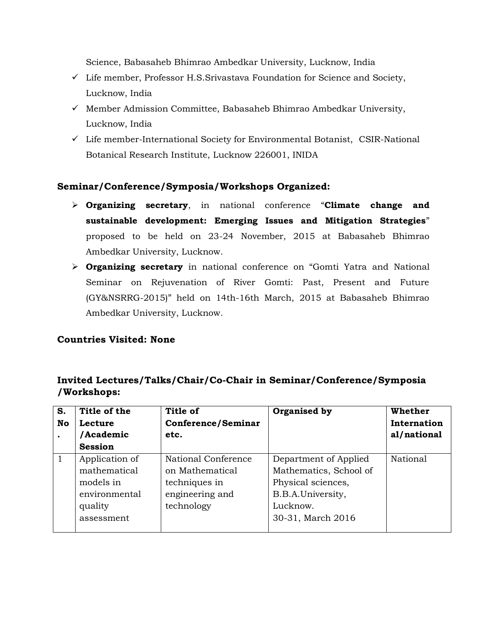Science, Babasaheb Bhimrao Ambedkar University, Lucknow, India

- $\checkmark$  Life member, Professor H.S.Srivastava Foundation for Science and Society, Lucknow, India
- $\checkmark$  Member Admission Committee, Babasaheb Bhimrao Ambedkar University, Lucknow, India
- $\checkmark$  Life member-International Society for Environmental Botanist, CSIR-National Botanical Research Institute, Lucknow 226001, INIDA

# **Seminar/Conference/Symposia/Workshops Organized:**

- **Organizing secretary**, in national conference "**Climate change and sustainable development: Emerging Issues and Mitigation Strategies**" proposed to be held on 23-24 November, 2015 at Babasaheb Bhimrao Ambedkar University, Lucknow.
- **Organizing secretary** in national conference on "Gomti Yatra and National Seminar on Rejuvenation of River Gomti: Past, Present and Future (GY&NSRRG-2015)" held on 14th-16th March, 2015 at Babasaheb Bhimrao Ambedkar University, Lucknow.

# **Countries Visited: None**

# **Invited Lectures/Talks/Chair/Co-Chair in Seminar/Conference/Symposia /Workshops:**

| S. | Title of the   | Title of                  | Organised by           | Whether     |
|----|----------------|---------------------------|------------------------|-------------|
| No | Lecture        | <b>Conference/Seminar</b> |                        | Internation |
|    | /Academic      | etc.                      |                        | al/national |
|    | <b>Session</b> |                           |                        |             |
| 1  | Application of | National Conference       | Department of Applied  | National    |
|    | mathematical   | on Mathematical           | Mathematics, School of |             |
|    | models in      | techniques in             | Physical sciences,     |             |
|    | environmental  | engineering and           | B.B.A.University,      |             |
|    | quality        | technology                | Lucknow.               |             |
|    | assessment     |                           | 30-31, March 2016      |             |
|    |                |                           |                        |             |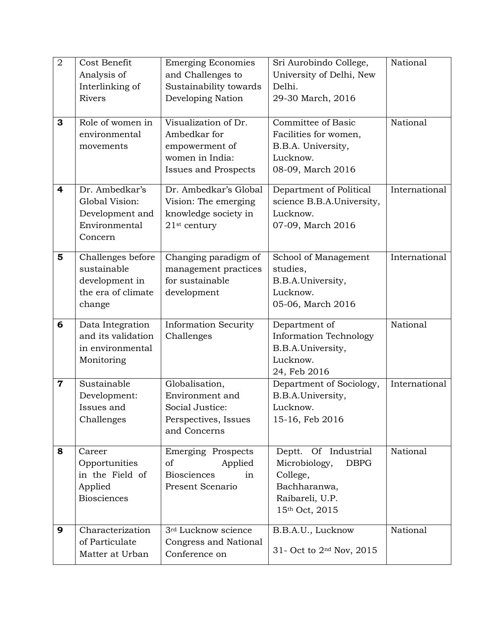| $\overline{2}$ | Cost Benefit       | <b>Emerging Economies</b>   | Sri Aurobindo College,                   | National      |
|----------------|--------------------|-----------------------------|------------------------------------------|---------------|
|                | Analysis of        | and Challenges to           | University of Delhi, New                 |               |
|                | Interlinking of    | Sustainability towards      | Delhi.                                   |               |
|                | <b>Rivers</b>      | Developing Nation           | 29-30 March, 2016                        |               |
|                |                    |                             |                                          |               |
| 3              | Role of women in   | Visualization of Dr.        | Committee of Basic                       | National      |
|                | environmental      | Ambedkar for                | Facilities for women,                    |               |
|                | movements          | empowerment of              | B.B.A. University,                       |               |
|                |                    | women in India:             | Lucknow.                                 |               |
|                |                    | <b>Issues and Prospects</b> | 08-09, March 2016                        |               |
| 4              | Dr. Ambedkar's     | Dr. Ambedkar's Global       | Department of Political                  | International |
|                | Global Vision:     | Vision: The emerging        | science B.B.A.University,                |               |
|                | Development and    | knowledge society in        | Lucknow.                                 |               |
|                | Environmental      | $21$ <sup>st</sup> century  | 07-09, March 2016                        |               |
|                | Concern            |                             |                                          |               |
| 5              | Challenges before  | Changing paradigm of        | School of Management                     | International |
|                | sustainable        | management practices        | studies,                                 |               |
|                | development in     | for sustainable             | B.B.A.University,                        |               |
|                | the era of climate | development                 | Lucknow.                                 |               |
|                | change             |                             | 05-06, March 2016                        |               |
|                |                    |                             |                                          |               |
| 6              | Data Integration   | <b>Information Security</b> | Department of                            | National      |
|                | and its validation | Challenges                  | <b>Information Technology</b>            |               |
|                | in environmental   |                             | B.B.A.University,                        |               |
|                | Monitoring         |                             | Lucknow.                                 |               |
| $\mathbf 7$    | Sustainable        | Globalisation,              | 24, Feb 2016<br>Department of Sociology, | International |
|                | Development:       | Environment and             | B.B.A.University,                        |               |
|                | Issues and         | Social Justice:             | Lucknow.                                 |               |
|                | Challenges         | Perspectives, Issues        | 15-16, Feb 2016                          |               |
|                |                    | and Concerns                |                                          |               |
|                |                    |                             |                                          |               |
| 8              | Career             | Emerging Prospects          | Deptt. Of Industrial                     | National      |
|                | Opportunities      | Applied<br>of               | Microbiology,<br><b>DBPG</b>             |               |
|                | in the Field of    | <b>Biosciences</b><br>in    | College,                                 |               |
|                | Applied            | Present Scenario            | Bachharanwa,                             |               |
|                | <b>Biosciences</b> |                             | Raibareli, U.P.                          |               |
|                |                    |                             | 15th Oct, 2015                           |               |
| 9              | Characterization   | 3rd Lucknow science         | B.B.A.U., Lucknow                        | National      |
|                | of Particulate     | Congress and National       |                                          |               |
|                | Matter at Urban    | Conference on               | 31- Oct to 2 <sup>nd</sup> Nov, 2015     |               |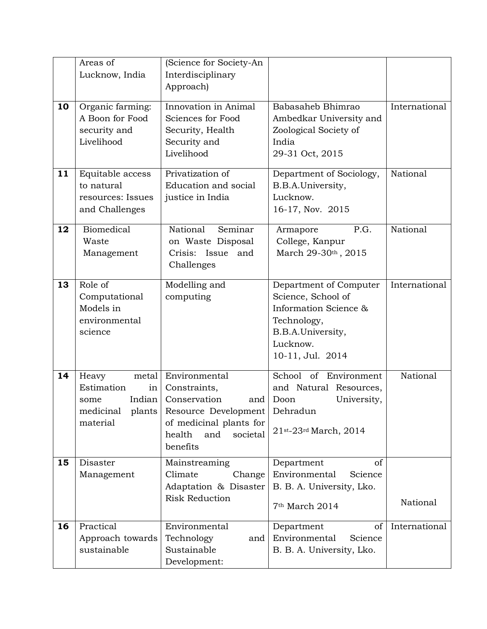|    | Areas of<br>Lucknow, India                                                    | (Science for Society-An<br>Interdisciplinary<br>Approach)                                                                                                                  |                                                                                                                                           |               |
|----|-------------------------------------------------------------------------------|----------------------------------------------------------------------------------------------------------------------------------------------------------------------------|-------------------------------------------------------------------------------------------------------------------------------------------|---------------|
| 10 | Organic farming:<br>A Boon for Food<br>security and<br>Livelihood             | Innovation in Animal<br>Sciences for Food<br>Security, Health<br>Security and<br>Livelihood                                                                                | Babasaheb Bhimrao<br>Ambedkar University and<br>Zoological Society of<br>India<br>29-31 Oct, 2015                                         | International |
| 11 | Equitable access<br>to natural<br>resources: Issues<br>and Challenges         | Privatization of<br>Education and social<br>justice in India                                                                                                               | Department of Sociology,<br>B.B.A.University,<br>Lucknow.<br>16-17, Nov. 2015                                                             | National      |
| 12 | Biomedical<br>Waste<br>Management                                             | National<br>Seminar<br>on Waste Disposal<br>Crisis: Issue and<br>Challenges                                                                                                | P.G.<br>Armapore<br>College, Kanpur<br>March 29-30th, 2015                                                                                | National      |
| 13 | Role of<br>Computational<br>Models in<br>environmental<br>science             | Modelling and<br>computing                                                                                                                                                 | Department of Computer<br>Science, School of<br>Information Science &<br>Technology,<br>B.B.A.University,<br>Lucknow.<br>10-11, Jul. 2014 | International |
| 14 | Heavy<br>metal<br>Estimation<br>in <sub>1</sub><br>Indian<br>some<br>material | Environmental<br>Constraints,<br>Conservation<br>and<br>medicinal plants Resource Development Dehradun<br>of medicinal plants for<br>health<br>and<br>societal<br>benefits | School of Environment<br>and Natural Resources,<br>Doon<br>University,<br>21st-23rd March, 2014                                           | National      |
| 15 | Disaster<br>Management                                                        | Mainstreaming<br>Climate<br>Change<br>Adaptation & Disaster<br><b>Risk Reduction</b>                                                                                       | Department<br>of<br>Environmental<br>Science<br>B. B. A. University, Lko.<br>7 <sup>th</sup> March 2014                                   | National      |
| 16 | Practical<br>Approach towards<br>sustainable                                  | Environmental<br>Technology<br>and<br>Sustainable<br>Development:                                                                                                          | Department<br>of<br>Environmental<br>Science<br>B. B. A. University, Lko.                                                                 | International |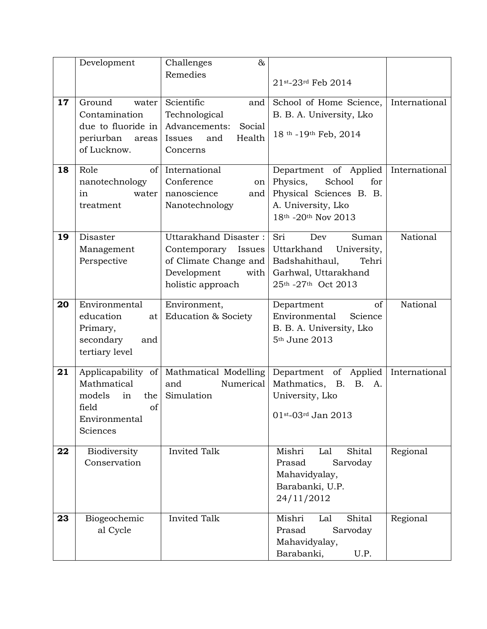|    | Development                                                                                          | $\&$<br>Challenges                                                                                                   |                                                                                                                            |               |
|----|------------------------------------------------------------------------------------------------------|----------------------------------------------------------------------------------------------------------------------|----------------------------------------------------------------------------------------------------------------------------|---------------|
|    |                                                                                                      | Remedies                                                                                                             | 21st-23rd Feb 2014                                                                                                         |               |
| 17 | Ground<br>water<br>Contamination<br>due to fluoride in<br>periurban<br>areas<br>of Lucknow.          | Scientific<br>and<br>Technological<br>Advancements:<br>Social<br>Health<br>Issues<br>and<br>Concerns                 | School of Home Science,<br>B. B. A. University, Lko<br>18 <sup>th</sup> -19 <sup>th</sup> Feb, 2014                        | International |
| 18 | Role<br>of<br>nanotechnology<br>water<br>1n<br>treatment                                             | International<br>Conference<br>on<br>nanoscience<br>and<br>Nanotechnology                                            | Department of Applied<br>Physics,<br>School<br>for<br>Physical Sciences B. B.<br>A. University, Lko<br>18th -20th Nov 2013 | International |
| 19 | Disaster<br>Management<br>Perspective                                                                | Uttarakhand Disaster:<br>Contemporary<br>Issues<br>of Climate Change and<br>Development<br>with<br>holistic approach | Sri<br>Dev<br>Suman<br>Uttarkhand<br>University,<br>Badshahithaul,<br>Tehri<br>Garhwal, Uttarakhand<br>25th -27th Oct 2013 | National      |
| 20 | Environmental<br>education<br>at<br>Primary,<br>secondary<br>and<br>tertiary level                   | Environment,<br>Education & Society                                                                                  | of<br>Department<br>Environmental<br>Science<br>B. B. A. University, Lko<br>5 <sup>th</sup> June 2013                      | National      |
| 21 | Applicapability of<br>Mathmatical<br>models<br>the<br>in<br>field<br>of<br>Environmental<br>Sciences | Mathmatical Modelling<br>and<br>Numerical<br>Simulation                                                              | Department of Applied<br>Mathmatics, B.<br><b>B.</b><br>A.<br>University, Lko<br>01st-03rd Jan 2013                        | International |
| 22 | Biodiversity<br>Conservation                                                                         | <b>Invited Talk</b>                                                                                                  | Mishri<br>Shital<br>Lal<br>Prasad<br>Sarvoday<br>Mahavidyalay,<br>Barabanki, U.P.<br>24/11/2012                            | Regional      |
| 23 | Biogeochemic<br>al Cycle                                                                             | Invited Talk                                                                                                         | Shital<br>Mishri<br>Lal<br>Prasad<br>Sarvoday<br>Mahavidyalay,<br>Barabanki,<br>U.P.                                       | Regional      |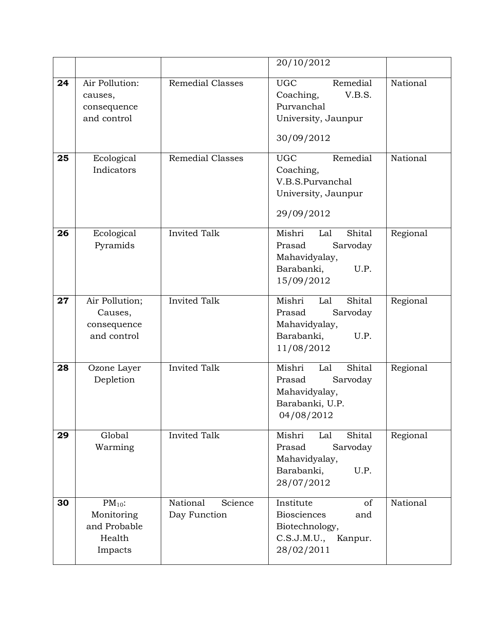|    |                                                                |                                     | 20/10/2012                                                                                          |          |
|----|----------------------------------------------------------------|-------------------------------------|-----------------------------------------------------------------------------------------------------|----------|
| 24 | Air Pollution:<br>causes,<br>consequence<br>and control        | <b>Remedial Classes</b>             | Remedial<br><b>UGC</b><br>V.B.S.<br>Coaching,<br>Purvanchal<br>University, Jaunpur<br>30/09/2012    | National |
| 25 | Ecological<br>Indicators                                       | <b>Remedial Classes</b>             | Remedial<br><b>UGC</b><br>Coaching,<br>V.B.S.Purvanchal<br>University, Jaunpur<br>29/09/2012        | National |
| 26 | Ecological<br>Pyramids                                         | <b>Invited Talk</b>                 | Mishri<br>Shital<br>Lal<br>Sarvoday<br>Prasad<br>Mahavidyalay,<br>U.P.<br>Barabanki,<br>15/09/2012  | Regional |
| 27 | Air Pollution;<br>Causes,<br>consequence<br>and control        | <b>Invited Talk</b>                 | Mishri<br>Shital<br>Lal<br>Prasad<br>Sarvoday<br>Mahavidyalay,<br>U.P.<br>Barabanki,<br>11/08/2012  | Regional |
| 28 | Ozone Layer<br>Depletion                                       | <b>Invited Talk</b>                 | Mishri<br>Shital<br>Lal<br>Sarvoday<br>Prasad<br>Mahavidyalay,<br>Barabanki, U.P.<br>04/08/2012     | Regional |
| 29 | Global<br>Warming                                              | <b>Invited Talk</b>                 | Mishri<br>Lal<br>Shital<br>Prasad<br>Sarvoday<br>Mahavidyalay,<br>Barabanki,<br>U.P.<br>28/07/2012  | Regional |
| 30 | $PM_{10}$ :<br>Monitoring<br>and Probable<br>Health<br>Impacts | National<br>Science<br>Day Function | Institute<br>of<br><b>Biosciences</b><br>and<br>Biotechnology,<br>C.S.J.M.U., Kanpur.<br>28/02/2011 | National |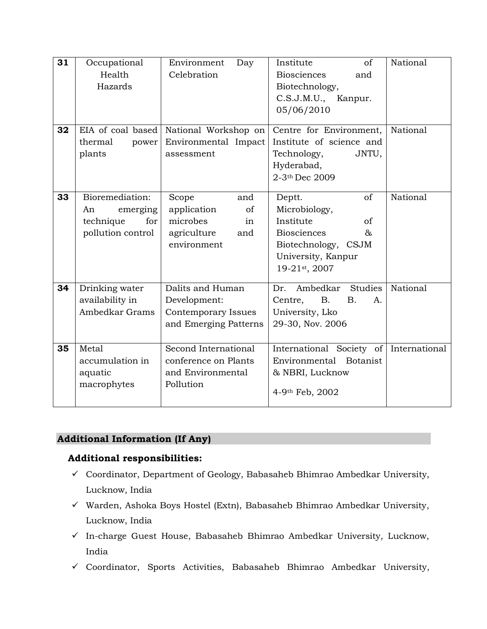| 31 | Occupational<br>Health<br>Hazards                                                       | Environment<br>Day<br>Celebration                                                        | of<br>Institute<br><b>Biosciences</b><br>and<br>Biotechnology,                                                                                       | National      |
|----|-----------------------------------------------------------------------------------------|------------------------------------------------------------------------------------------|------------------------------------------------------------------------------------------------------------------------------------------------------|---------------|
|    |                                                                                         |                                                                                          | C.S.J.M.U.,<br>Kanpur.<br>05/06/2010                                                                                                                 |               |
| 32 | EIA of coal based<br>thermal<br>power<br>plants                                         | National Workshop on<br>Environmental Impact<br>assessment                               | Centre for Environment,<br>Institute of science and<br>Technology,<br>JNTU,<br>Hyderabad,<br>2-3th Dec 2009                                          | National      |
| 33 | Bioremediation:<br>An<br>emerging<br>technique<br>for <sub>l</sub><br>pollution control | Scope<br>and<br>application<br>of<br>microbes<br>in<br>agriculture<br>and<br>environment | of<br>Deptt.<br>Microbiology,<br>Institute<br><sub>of</sub><br><b>Biosciences</b><br>&<br>Biotechnology, CSJM<br>University, Kanpur<br>19-21st, 2007 | National      |
| 34 | Drinking water<br>availability in<br>Ambedkar Grams                                     | Dalits and Human<br>Development:<br>Contemporary Issues<br>and Emerging Patterns         | Studies<br>Ambedkar<br>Dr.<br>Centre,<br><b>B.</b><br><b>B.</b><br>A.<br>University, Lko<br>29-30, Nov. 2006                                         | National      |
| 35 | Metal<br>accumulation in<br>aquatic<br>macrophytes                                      | Second International<br>conference on Plants<br>and Environmental<br>Pollution           | International Society of<br>Environmental Botanist<br>& NBRI, Lucknow<br>4-9th Feb, 2002                                                             | International |

# **Additional Information (If Any)**

# **Additional responsibilities:**

- Coordinator, Department of Geology, Babasaheb Bhimrao Ambedkar University, Lucknow, India
- $\checkmark$  Warden, Ashoka Boys Hostel (Extn), Babasaheb Bhimrao Ambedkar University, Lucknow, India
- $\checkmark$  In-charge Guest House, Babasaheb Bhimrao Ambedkar University, Lucknow, India
- $\checkmark$  Coordinator, Sports Activities, Babasaheb Bhimrao Ambedkar University,